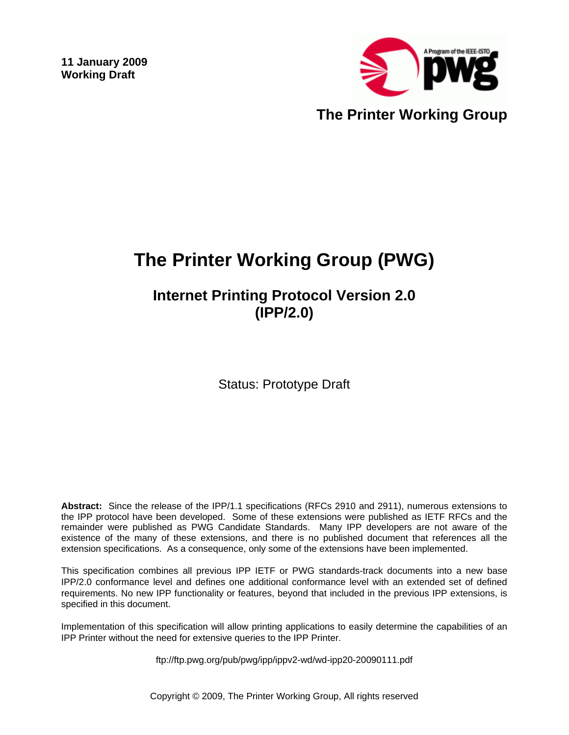**11 January 2009 Working Draft** 



# **The Printer Working Group (PWG)**

**Internet Printing Protocol Version 2.0 (IPP/2.0)** 

Status: Prototype Draft

**Abstract:** Since the release of the IPP/1.1 specifications (RFCs 2910 and 2911), numerous extensions to the IPP protocol have been developed. Some of these extensions were published as IETF RFCs and the remainder were published as PWG Candidate Standards. Many IPP developers are not aware of the existence of the many of these extensions, and there is no published document that references all the extension specifications. As a consequence, only some of the extensions have been implemented.

This specification combines all previous IPP IETF or PWG standards-track documents into a new base IPP/2.0 conformance level and defines one additional conformance level with an extended set of defined requirements. No new IPP functionality or features, beyond that included in the previous IPP extensions, is specified in this document.

Implementation of this specification will allow printing applications to easily determine the capabilities of an IPP Printer without the need for extensive queries to the IPP Printer.

ftp://ftp.pwg.org/pub/pwg/ipp/ippv2-wd/wd-ipp20-20090111.pdf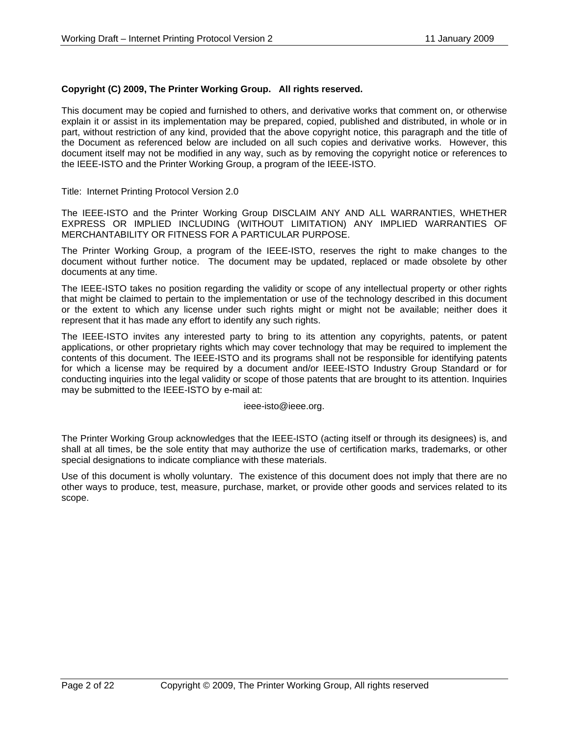#### **Copyright (C) 2009, The Printer Working Group. All rights reserved.**

This document may be copied and furnished to others, and derivative works that comment on, or otherwise explain it or assist in its implementation may be prepared, copied, published and distributed, in whole or in part, without restriction of any kind, provided that the above copyright notice, this paragraph and the title of the Document as referenced below are included on all such copies and derivative works. However, this document itself may not be modified in any way, such as by removing the copyright notice or references to the IEEE-ISTO and the Printer Working Group, a program of the IEEE-ISTO.

Title: Internet Printing Protocol Version 2.0

The IEEE-ISTO and the Printer Working Group DISCLAIM ANY AND ALL WARRANTIES, WHETHER EXPRESS OR IMPLIED INCLUDING (WITHOUT LIMITATION) ANY IMPLIED WARRANTIES OF MERCHANTABILITY OR FITNESS FOR A PARTICULAR PURPOSE.

The Printer Working Group, a program of the IEEE-ISTO, reserves the right to make changes to the document without further notice. The document may be updated, replaced or made obsolete by other documents at any time.

The IEEE-ISTO takes no position regarding the validity or scope of any intellectual property or other rights that might be claimed to pertain to the implementation or use of the technology described in this document or the extent to which any license under such rights might or might not be available; neither does it represent that it has made any effort to identify any such rights.

The IEEE-ISTO invites any interested party to bring to its attention any copyrights, patents, or patent applications, or other proprietary rights which may cover technology that may be required to implement the contents of this document. The IEEE-ISTO and its programs shall not be responsible for identifying patents for which a license may be required by a document and/or IEEE-ISTO Industry Group Standard or for conducting inquiries into the legal validity or scope of those patents that are brought to its attention. Inquiries may be submitted to the IEEE-ISTO by e-mail at:

ieee-isto@ieee.org.

The Printer Working Group acknowledges that the IEEE-ISTO (acting itself or through its designees) is, and shall at all times, be the sole entity that may authorize the use of certification marks, trademarks, or other special designations to indicate compliance with these materials.

Use of this document is wholly voluntary. The existence of this document does not imply that there are no other ways to produce, test, measure, purchase, market, or provide other goods and services related to its scope.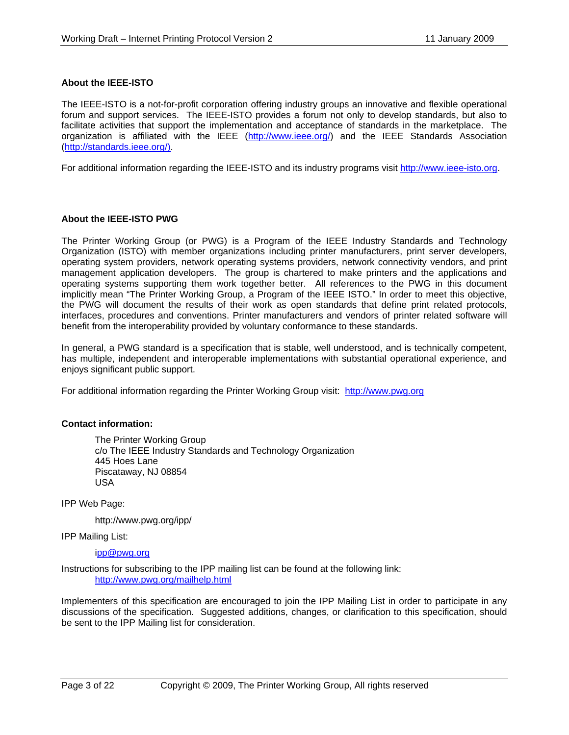### **About the IEEE-ISTO**

The IEEE-ISTO is a not-for-profit corporation offering industry groups an innovative and flexible operational forum and support services. The IEEE-ISTO provides a forum not only to develop standards, but also to facilitate activities that support the implementation and acceptance of standards in the marketplace. The organization is affiliated with the IEEE (http://www.ieee.org/) and the IEEE Standards Association (http://standards.ieee.org/).

For additional information regarding the IEEE-ISTO and its industry programs visit http://www.ieee-isto.org.

#### **About the IEEE-ISTO PWG**

The Printer Working Group (or PWG) is a Program of the IEEE Industry Standards and Technology Organization (ISTO) with member organizations including printer manufacturers, print server developers, operating system providers, network operating systems providers, network connectivity vendors, and print management application developers. The group is chartered to make printers and the applications and operating systems supporting them work together better. All references to the PWG in this document implicitly mean "The Printer Working Group, a Program of the IEEE ISTO." In order to meet this objective, the PWG will document the results of their work as open standards that define print related protocols, interfaces, procedures and conventions. Printer manufacturers and vendors of printer related software will benefit from the interoperability provided by voluntary conformance to these standards.

In general, a PWG standard is a specification that is stable, well understood, and is technically competent, has multiple, independent and interoperable implementations with substantial operational experience, and enjoys significant public support.

For additional information regarding the Printer Working Group visit: http://www.pwg.org

#### **Contact information:**

The Printer Working Group c/o The IEEE Industry Standards and Technology Organization 445 Hoes Lane Piscataway, NJ 08854 USA

IPP Web Page:

http://www.pwg.org/ipp/

IPP Mailing List:

ipp@pwg.org

Instructions for subscribing to the IPP mailing list can be found at the following link: http://www.pwg.org/mailhelp.html

Implementers of this specification are encouraged to join the IPP Mailing List in order to participate in any discussions of the specification. Suggested additions, changes, or clarification to this specification, should be sent to the IPP Mailing list for consideration.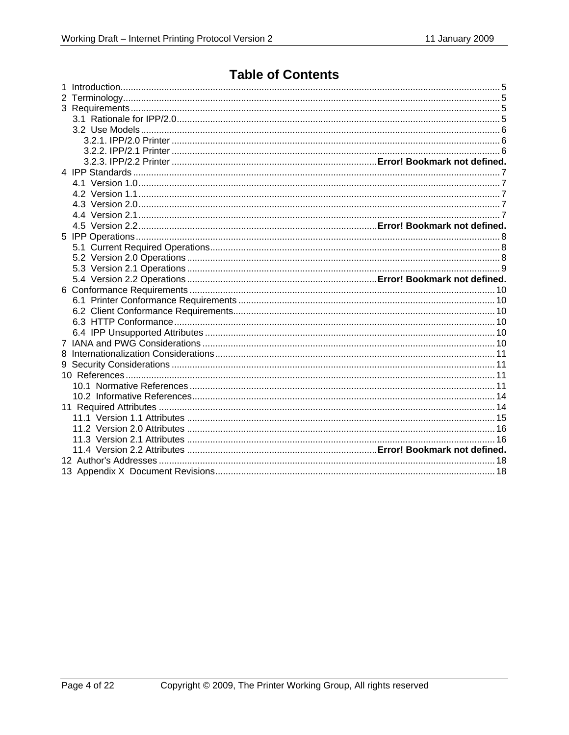# **Table of Contents**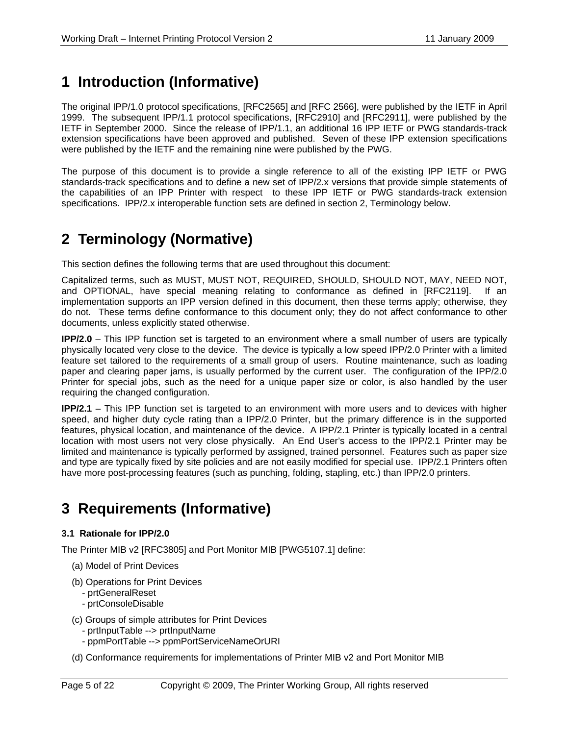# **1 Introduction (Informative)**

The original IPP/1.0 protocol specifications, [RFC2565] and [RFC 2566], were published by the IETF in April 1999. The subsequent IPP/1.1 protocol specifications, [RFC2910] and [RFC2911], were published by the IETF in September 2000. Since the release of IPP/1.1, an additional 16 IPP IETF or PWG standards-track extension specifications have been approved and published. Seven of these IPP extension specifications were published by the IETF and the remaining nine were published by the PWG.

The purpose of this document is to provide a single reference to all of the existing IPP IETF or PWG standards-track specifications and to define a new set of IPP/2.x versions that provide simple statements of the capabilities of an IPP Printer with respect to these IPP IETF or PWG standards-track extension specifications. IPP/2.x interoperable function sets are defined in section 2, Terminology below.

# **2 Terminology (Normative)**

This section defines the following terms that are used throughout this document:

Capitalized terms, such as MUST, MUST NOT, REQUIRED, SHOULD, SHOULD NOT, MAY, NEED NOT, and OPTIONAL, have special meaning relating to conformance as defined in [RFC2119]. If an implementation supports an IPP version defined in this document, then these terms apply; otherwise, they do not. These terms define conformance to this document only; they do not affect conformance to other documents, unless explicitly stated otherwise.

**IPP/2.0** – This IPP function set is targeted to an environment where a small number of users are typically physically located very close to the device. The device is typically a low speed IPP/2.0 Printer with a limited feature set tailored to the requirements of a small group of users. Routine maintenance, such as loading paper and clearing paper jams, is usually performed by the current user. The configuration of the IPP/2.0 Printer for special jobs, such as the need for a unique paper size or color, is also handled by the user requiring the changed configuration.

**IPP/2.1** – This IPP function set is targeted to an environment with more users and to devices with higher speed, and higher duty cycle rating than a IPP/2.0 Printer, but the primary difference is in the supported features, physical location, and maintenance of the device. A IPP/2.1 Printer is typically located in a central location with most users not very close physically. An End User's access to the IPP/2.1 Printer may be limited and maintenance is typically performed by assigned, trained personnel. Features such as paper size and type are typically fixed by site policies and are not easily modified for special use. IPP/2.1 Printers often have more post-processing features (such as punching, folding, stapling, etc.) than IPP/2.0 printers.

# **3 Requirements (Informative)**

# **3.1 Rationale for IPP/2.0**

The Printer MIB v2 [RFC3805] and Port Monitor MIB [PWG5107.1] define:

- (a) Model of Print Devices
- (b) Operations for Print Devices
	- prtGeneralReset
	- prtConsoleDisable
- (c) Groups of simple attributes for Print Devices
	- prtInputTable --> prtInputName
	- ppmPortTable --> ppmPortServiceNameOrURI
- (d) Conformance requirements for implementations of Printer MIB v2 and Port Monitor MIB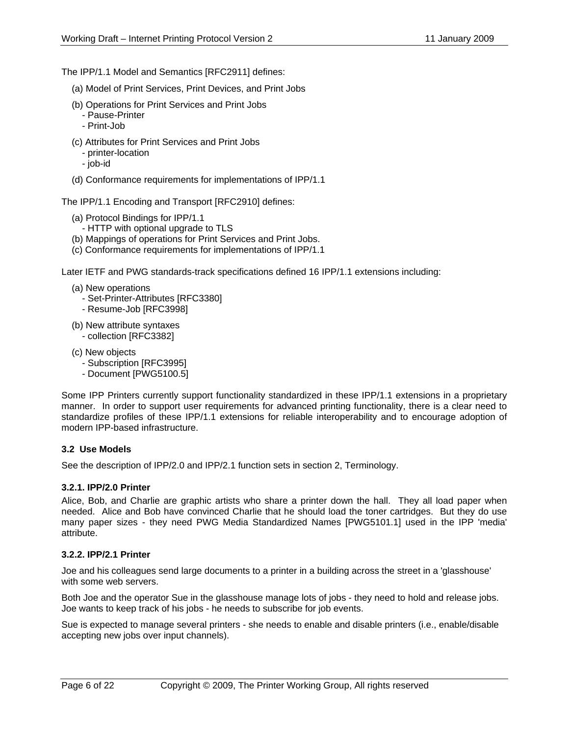The IPP/1.1 Model and Semantics [RFC2911] defines:

(a) Model of Print Services, Print Devices, and Print Jobs

- (b) Operations for Print Services and Print Jobs - Pause-Printer
	- Print-Job
- (c) Attributes for Print Services and Print Jobs
	- printer-location
	- job-id
- (d) Conformance requirements for implementations of IPP/1.1

The IPP/1.1 Encoding and Transport [RFC2910] defines:

- (a) Protocol Bindings for IPP/1.1
- HTTP with optional upgrade to TLS
- (b) Mappings of operations for Print Services and Print Jobs.
- (c) Conformance requirements for implementations of IPP/1.1

Later IETF and PWG standards-track specifications defined 16 IPP/1.1 extensions including:

- (a) New operations
	- Set-Printer-Attributes [RFC3380]
	- Resume-Job [RFC3998]
- (b) New attribute syntaxes - collection [RFC3382]
- (c) New objects
	- Subscription [RFC3995]
	- Document [PWG5100.5]

Some IPP Printers currently support functionality standardized in these IPP/1.1 extensions in a proprietary manner. In order to support user requirements for advanced printing functionality, there is a clear need to standardize profiles of these IPP/1.1 extensions for reliable interoperability and to encourage adoption of modern IPP-based infrastructure.

### **3.2 Use Models**

See the description of IPP/2.0 and IPP/2.1 function sets in section 2, Terminology.

### **3.2.1. IPP/2.0 Printer**

Alice, Bob, and Charlie are graphic artists who share a printer down the hall. They all load paper when needed. Alice and Bob have convinced Charlie that he should load the toner cartridges. But they do use many paper sizes - they need PWG Media Standardized Names [PWG5101.1] used in the IPP 'media' attribute.

### **3.2.2. IPP/2.1 Printer**

Joe and his colleagues send large documents to a printer in a building across the street in a 'glasshouse' with some web servers.

Both Joe and the operator Sue in the glasshouse manage lots of jobs - they need to hold and release jobs. Joe wants to keep track of his jobs - he needs to subscribe for job events.

Sue is expected to manage several printers - she needs to enable and disable printers (i.e., enable/disable accepting new jobs over input channels).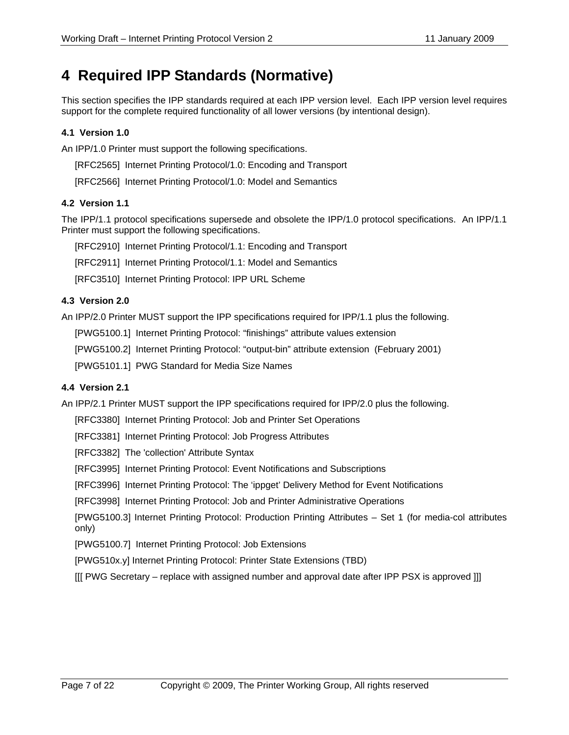# **4 Required IPP Standards (Normative)**

This section specifies the IPP standards required at each IPP version level. Each IPP version level requires support for the complete required functionality of all lower versions (by intentional design).

# **4.1 Version 1.0**

An IPP/1.0 Printer must support the following specifications.

[RFC2565] Internet Printing Protocol/1.0: Encoding and Transport

[RFC2566] Internet Printing Protocol/1.0: Model and Semantics

# **4.2 Version 1.1**

The IPP/1.1 protocol specifications supersede and obsolete the IPP/1.0 protocol specifications. An IPP/1.1 Printer must support the following specifications.

[RFC2910] Internet Printing Protocol/1.1: Encoding and Transport

[RFC2911] Internet Printing Protocol/1.1: Model and Semantics

[RFC3510] Internet Printing Protocol: IPP URL Scheme

# **4.3 Version 2.0**

An IPP/2.0 Printer MUST support the IPP specifications required for IPP/1.1 plus the following.

[PWG5100.1] Internet Printing Protocol: "finishings" attribute values extension

[PWG5100.2] Internet Printing Protocol: "output-bin" attribute extension (February 2001)

[PWG5101.1] PWG Standard for Media Size Names

# **4.4 Version 2.1**

An IPP/2.1 Printer MUST support the IPP specifications required for IPP/2.0 plus the following.

[RFC3380] Internet Printing Protocol: Job and Printer Set Operations

[RFC3381] Internet Printing Protocol: Job Progress Attributes

[RFC3382] The 'collection' Attribute Syntax

[RFC3995] Internet Printing Protocol: Event Notifications and Subscriptions

[RFC3996] Internet Printing Protocol: The 'ippget' Delivery Method for Event Notifications

[RFC3998] Internet Printing Protocol: Job and Printer Administrative Operations

[PWG5100.3] Internet Printing Protocol: Production Printing Attributes – Set 1 (for media-col attributes only)

[PWG5100.7] Internet Printing Protocol: Job Extensions

[PWG510x.y] Internet Printing Protocol: Printer State Extensions (TBD)

[[[ PWG Secretary – replace with assigned number and approval date after IPP PSX is approved ]]]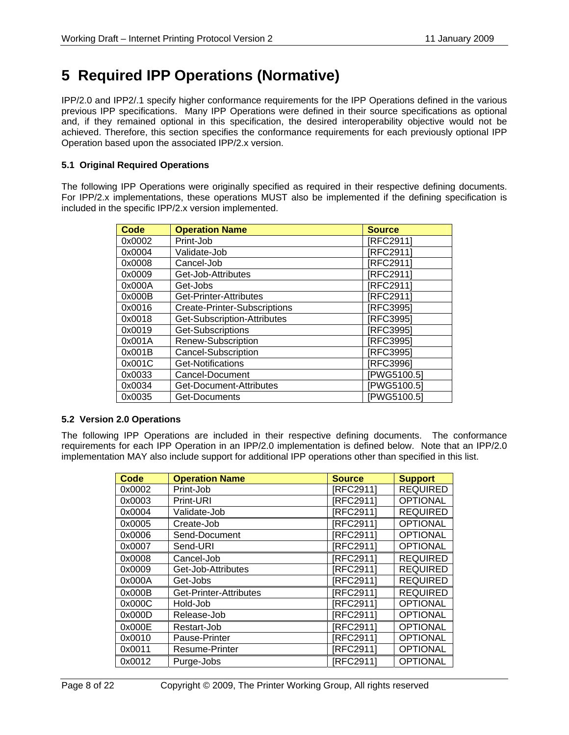# **5 Required IPP Operations (Normative)**

IPP/2.0 and IPP2/.1 specify higher conformance requirements for the IPP Operations defined in the various previous IPP specifications. Many IPP Operations were defined in their source specifications as optional and, if they remained optional in this specification, the desired interoperability objective would not be achieved. Therefore, this section specifies the conformance requirements for each previously optional IPP Operation based upon the associated IPP/2.x version.

### **5.1 Original Required Operations**

The following IPP Operations were originally specified as required in their respective defining documents. For IPP/2.x implementations, these operations MUST also be implemented if the defining specification is included in the specific IPP/2.x version implemented.

| <b>Code</b> | <b>Operation Name</b>               | <b>Source</b> |
|-------------|-------------------------------------|---------------|
| 0x0002      | Print-Job                           | [RFC2911]     |
| 0x0004      | Validate-Job                        | [RFC2911]     |
| 0x0008      | Cancel-Job                          | [RFC2911]     |
| 0x0009      | Get-Job-Attributes                  | [RFC2911]     |
| 0x000A      | Get-Jobs                            | [RFC2911]     |
| 0x000B      | Get-Printer-Attributes              | [RFC2911]     |
| 0x0016      | <b>Create-Printer-Subscriptions</b> | [RFC3995]     |
| 0x0018      | Get-Subscription-Attributes         | [RFC3995]     |
| 0x0019      | Get-Subscriptions                   | [RFC3995]     |
| 0x001A      | Renew-Subscription                  | [RFC3995]     |
| 0x001B      | <b>Cancel-Subscription</b>          | [RFC3995]     |
| 0x001C      | Get-Notifications                   | [RFC3996]     |
| 0x0033      | Cancel-Document                     | PWG5100.51    |
| 0x0034      | Get-Document-Attributes             | PWG5100.51    |
| 0x0035      | Get-Documents                       | PWG5100.51    |

### **5.2 Version 2.0 Operations**

The following IPP Operations are included in their respective defining documents. The conformance requirements for each IPP Operation in an IPP/2.0 implementation is defined below. Note that an IPP/2.0 implementation MAY also include support for additional IPP operations other than specified in this list.

| Code   | <b>Operation Name</b>  | <b>Source</b> | <b>Support</b>  |
|--------|------------------------|---------------|-----------------|
| 0x0002 | Print-Job              | [RFC2911]     | <b>REQUIRED</b> |
| 0x0003 | Print-URI              | [RFC2911]     | <b>OPTIONAL</b> |
| 0x0004 | Validate-Job           | [RFC2911]     | <b>REQUIRED</b> |
| 0x0005 | Create-Job             | [RFC2911]     | <b>OPTIONAL</b> |
| 0x0006 | Send-Document          | [RFC2911]     | <b>OPTIONAL</b> |
| 0x0007 | Send-URI               | [RFC2911]     | <b>OPTIONAL</b> |
| 0x0008 | Cancel-Job             | IRFC29111     | <b>REQUIRED</b> |
| 0x0009 | Get-Job-Attributes     | [RFC2911]     | <b>REQUIRED</b> |
| 0x000A | Get-Jobs               | [RFC2911]     | <b>REQUIRED</b> |
| 0x000B | Get-Printer-Attributes | [RFC2911]     | <b>REQUIRED</b> |
| 0x000C | Hold-Job               | [RFC2911]     | <b>OPTIONAL</b> |
| 0x000D | Release-Job            | [RFC2911]     | <b>OPTIONAL</b> |
| 0x000E | Restart-Job            | [RFC2911]     | <b>OPTIONAL</b> |
| 0x0010 | Pause-Printer          | [RFC2911]     | <b>OPTIONAL</b> |
| 0x0011 | Resume-Printer         | [RFC2911]     | <b>OPTIONAL</b> |
| 0x0012 | Purge-Jobs             | [RFC2911      | <b>OPTIONAL</b> |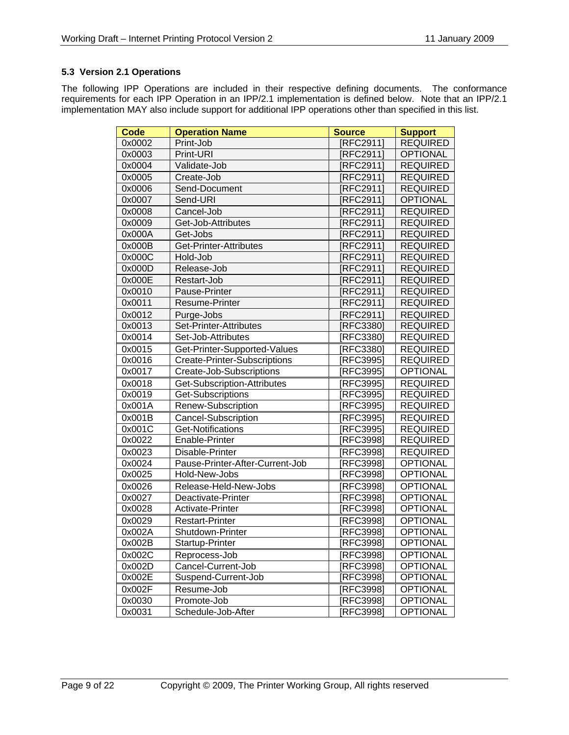# **5.3 Version 2.1 Operations**

The following IPP Operations are included in their respective defining documents. The conformance requirements for each IPP Operation in an IPP/2.1 implementation is defined below. Note that an IPP/2.1 implementation MAY also include support for additional IPP operations other than specified in this list.

| <b>Code</b> | <b>Operation Name</b>               | <b>Source</b>    | <b>Support</b>  |
|-------------|-------------------------------------|------------------|-----------------|
| 0x0002      | Print-Job                           | [RFC2911]        | <b>REQUIRED</b> |
| 0x0003      | Print-URI                           | [RFC2911]        | <b>OPTIONAL</b> |
| 0x0004      | Validate-Job                        | [RFC2911]        | <b>REQUIRED</b> |
| 0x0005      | Create-Job                          | [RFC2911]        | <b>REQUIRED</b> |
| 0x0006      | Send-Document                       | [RFC2911]        | <b>REQUIRED</b> |
| 0x0007      | Send-URI                            | [RFC2911]        | <b>OPTIONAL</b> |
| 0x0008      | Cancel-Job                          | [RFC2911]        | <b>REQUIRED</b> |
| 0x0009      | Get-Job-Attributes                  | [RFC2911]        | <b>REQUIRED</b> |
| 0x000A      | Get-Jobs                            | [RFC2911]        | <b>REQUIRED</b> |
| 0x000B      | Get-Printer-Attributes              | [RFC2911]        | <b>REQUIRED</b> |
| 0x000C      | Hold-Job                            | [RFC2911]        | <b>REQUIRED</b> |
| 0x000D      | Release-Job                         | [RFC2911]        | <b>REQUIRED</b> |
| 0x000E      | Restart-Job                         | [RFC2911]        | <b>REQUIRED</b> |
| 0x0010      | Pause-Printer                       | [RFC2911]        | <b>REQUIRED</b> |
| 0x0011      | Resume-Printer                      | [RFC2911]        | <b>REQUIRED</b> |
| 0x0012      | Purge-Jobs                          | [RFC2911]        | <b>REQUIRED</b> |
| 0x0013      | Set-Printer-Attributes              | [RFC3380]        | <b>REQUIRED</b> |
| 0x0014      | Set-Job-Attributes                  | [RFC3380]        | <b>REQUIRED</b> |
| 0x0015      | Get-Printer-Supported-Values        | [RFC3380]        | <b>REQUIRED</b> |
| 0x0016      | <b>Create-Printer-Subscriptions</b> | [RFC3995]        | <b>REQUIRED</b> |
| 0x0017      | Create-Job-Subscriptions            | [RFC3995]        | <b>OPTIONAL</b> |
| 0x0018      | Get-Subscription-Attributes         | [RFC3995]        | <b>REQUIRED</b> |
| 0x0019      | Get-Subscriptions                   | RFC3995          | <b>REQUIRED</b> |
| 0x001A      | Renew-Subscription                  | RFC3995          | <b>REQUIRED</b> |
| 0x001B      | Cancel-Subscription                 | [RFC3995]        | <b>REQUIRED</b> |
| 0x001C      | <b>Get-Notifications</b>            | [REC3995]        | <b>REQUIRED</b> |
| 0x0022      | Enable-Printer                      | [RFC3998]        | <b>REQUIRED</b> |
| 0x0023      | Disable-Printer                     | [RFC3998]        | <b>REQUIRED</b> |
| 0x0024      | Pause-Printer-After-Current-Job     | [RFC3998]        | <b>OPTIONAL</b> |
| 0x0025      | Hold-New-Jobs                       | [RFC3998]        | <b>OPTIONAL</b> |
| 0x0026      | Release-Held-New-Jobs               | [RFC3998]        | <b>OPTIONAL</b> |
| 0x0027      | Deactivate-Printer                  | [RFC3998]        | <b>OPTIONAL</b> |
| 0x0028      | Activate-Printer                    | [RFC3998]        | <b>OPTIONAL</b> |
| 0x0029      | <b>Restart-Printer</b>              | <b>IRFC39981</b> | <b>OPTIONAL</b> |
| 0x002A      | Shutdown-Printer                    | [RFC3998]        | <b>OPTIONAL</b> |
| 0x002B      | Startup-Printer                     | [RFC3998]        | OPTIONAL        |
| 0x002C      | Reprocess-Job                       | [RFC3998]        | <b>OPTIONAL</b> |
| 0x002D      | Cancel-Current-Job                  | [RFC3998]        | <b>OPTIONAL</b> |
| 0x002E      | Suspend-Current-Job                 | [RFC3998]        | <b>OPTIONAL</b> |
| 0x002F      | Resume-Job                          | [RFC3998]        | <b>OPTIONAL</b> |
| 0x0030      | Promote-Job                         | [RFC3998]        | <b>OPTIONAL</b> |
| 0x0031      | Schedule-Job-After                  | [RFC3998]        | <b>OPTIONAL</b> |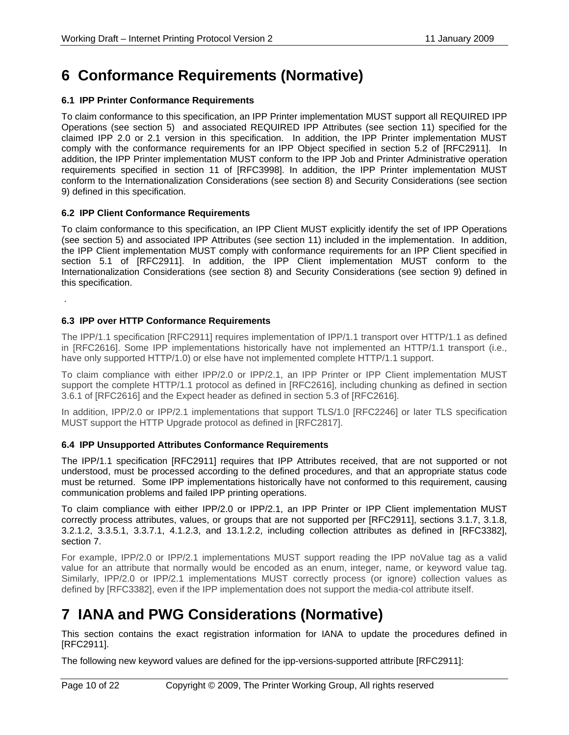# **6 Conformance Requirements (Normative)**

### **6.1 IPP Printer Conformance Requirements**

To claim conformance to this specification, an IPP Printer implementation MUST support all REQUIRED IPP Operations (see section 5) and associated REQUIRED IPP Attributes (see section 11) specified for the claimed IPP 2.0 or 2.1 version in this specification. In addition, the IPP Printer implementation MUST comply with the conformance requirements for an IPP Object specified in section 5.2 of [RFC2911]. In addition, the IPP Printer implementation MUST conform to the IPP Job and Printer Administrative operation requirements specified in section 11 of [RFC3998]. In addition, the IPP Printer implementation MUST conform to the Internationalization Considerations (see section 8) and Security Considerations (see section 9) defined in this specification.

### **6.2 IPP Client Conformance Requirements**

To claim conformance to this specification, an IPP Client MUST explicitly identify the set of IPP Operations (see section 5) and associated IPP Attributes (see section 11) included in the implementation. In addition, the IPP Client implementation MUST comply with conformance requirements for an IPP Client specified in section 5.1 of [RFC2911]. In addition, the IPP Client implementation MUST conform to the Internationalization Considerations (see section 8) and Security Considerations (see section 9) defined in this specification.

# **6.3 IPP over HTTP Conformance Requirements**

The IPP/1.1 specification [RFC2911] requires implementation of IPP/1.1 transport over HTTP/1.1 as defined in [RFC2616]. Some IPP implementations historically have not implemented an HTTP/1.1 transport (i.e., have only supported HTTP/1.0) or else have not implemented complete HTTP/1.1 support.

To claim compliance with either IPP/2.0 or IPP/2.1, an IPP Printer or IPP Client implementation MUST support the complete HTTP/1.1 protocol as defined in [RFC2616], including chunking as defined in section 3.6.1 of [RFC2616] and the Expect header as defined in section 5.3 of [RFC2616].

In addition, IPP/2.0 or IPP/2.1 implementations that support TLS/1.0 [RFC2246] or later TLS specification MUST support the HTTP Upgrade protocol as defined in [RFC2817].

# **6.4 IPP Unsupported Attributes Conformance Requirements**

The IPP/1.1 specification [RFC2911] requires that IPP Attributes received, that are not supported or not understood, must be processed according to the defined procedures, and that an appropriate status code must be returned. Some IPP implementations historically have not conformed to this requirement, causing communication problems and failed IPP printing operations.

To claim compliance with either IPP/2.0 or IPP/2.1, an IPP Printer or IPP Client implementation MUST correctly process attributes, values, or groups that are not supported per [RFC2911], sections 3.1.7, 3.1.8, 3.2.1.2, 3.3.5.1, 3.3.7.1, 4.1.2.3, and 13.1.2.2, including collection attributes as defined in [RFC3382], section 7.

For example, IPP/2.0 or IPP/2.1 implementations MUST support reading the IPP noValue tag as a valid value for an attribute that normally would be encoded as an enum, integer, name, or keyword value tag. Similarly, IPP/2.0 or IPP/2.1 implementations MUST correctly process (or ignore) collection values as defined by [RFC3382], even if the IPP implementation does not support the media-col attribute itself.

# **7 IANA and PWG Considerations (Normative)**

This section contains the exact registration information for IANA to update the procedures defined in [RFC2911].

The following new keyword values are defined for the ipp-versions-supported attribute [RFC2911]:

.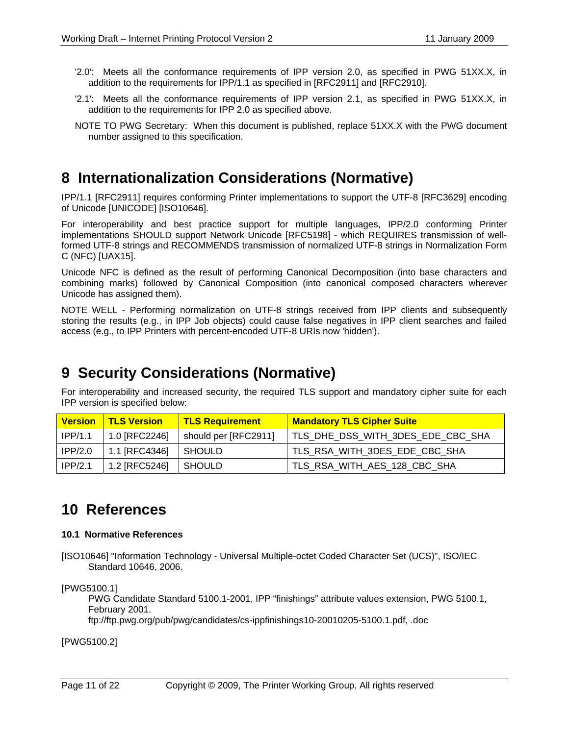- '2.0': Meets all the conformance requirements of IPP version 2.0, as specified in PWG 51XX.X, in addition to the requirements for IPP/1.1 as specified in [RFC2911] and [RFC2910].
- '2.1': Meets all the conformance requirements of IPP version 2.1, as specified in PWG 51XX.X, in addition to the requirements for IPP 2.0 as specified above.
- NOTE TO PWG Secretary: When this document is published, replace 51XX.X with the PWG document number assigned to this specification.

# **8 Internationalization Considerations (Normative)**

IPP/1.1 [RFC2911] requires conforming Printer implementations to support the UTF-8 [RFC3629] encoding of Unicode [UNICODE] [ISO10646].

For interoperability and best practice support for multiple languages, IPP/2.0 conforming Printer implementations SHOULD support Network Unicode [RFC5198] - which REQUIRES transmission of wellformed UTF-8 strings and RECOMMENDS transmission of normalized UTF-8 strings in Normalization Form C (NFC) [UAX15].

Unicode NFC is defined as the result of performing Canonical Decomposition (into base characters and combining marks) followed by Canonical Composition (into canonical composed characters wherever Unicode has assigned them).

NOTE WELL - Performing normalization on UTF-8 strings received from IPP clients and subsequently storing the results (e.g., in IPP Job objects) could cause false negatives in IPP client searches and failed access (e.g., to IPP Printers with percent-encoded UTF-8 URIs now 'hidden').

# **9 Security Considerations (Normative)**

For interoperability and increased security, the required TLS support and mandatory cipher suite for each IPP version is specified below:

| <b>Version</b> | <b>TLS Version</b> | <b>TLS Requirement</b> | <b>Mandatory TLS Cipher Suite</b> |
|----------------|--------------------|------------------------|-----------------------------------|
| IPP/1.1        | 1.0 [RFC2246]      | should per [RFC2911]   | TLS_DHE_DSS_WITH_3DES_EDE_CBC_SHA |
| IPP/2.0        | 1.1 [RFC4346]      | SHOULD                 | TLS_RSA_WITH_3DES_EDE_CBC_SHA     |
| IPP/2.1        | 1.2 [RFC5246]      | I SHOULD               | TLS_RSA_WITH_AES_128_CBC_SHA      |

# **10 References**

### **10.1 Normative References**

[ISO10646] "Information Technology - Universal Multiple-octet Coded Character Set (UCS)", ISO/IEC Standard 10646, 2006.

[PWG5100.1]

 PWG Candidate Standard 5100.1-2001, IPP "finishings" attribute values extension, PWG 5100.1, February 2001.

ftp://ftp.pwg.org/pub/pwg/candidates/cs-ippfinishings10-20010205-5100.1.pdf, .doc

[PWG5100.2]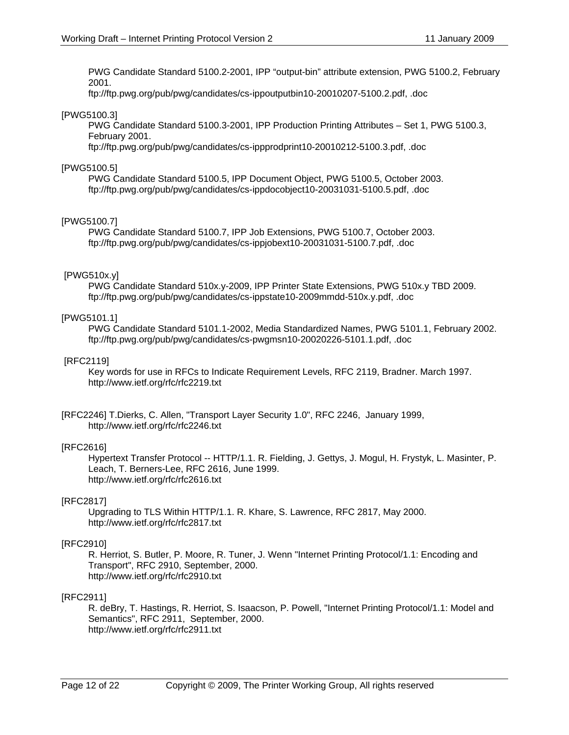PWG Candidate Standard 5100.2-2001, IPP "output-bin" attribute extension, PWG 5100.2, February 2001.

ftp://ftp.pwg.org/pub/pwg/candidates/cs-ippoutputbin10-20010207-5100.2.pdf, .doc

### [PWG5100.3]

PWG Candidate Standard 5100.3-2001, IPP Production Printing Attributes – Set 1, PWG 5100.3, February 2001.

ftp://ftp.pwg.org/pub/pwg/candidates/cs-ippprodprint10-20010212-5100.3.pdf, .doc

### [PWG5100.5]

 PWG Candidate Standard 5100.5, IPP Document Object, PWG 5100.5, October 2003. ftp://ftp.pwg.org/pub/pwg/candidates/cs-ippdocobject10-20031031-5100.5.pdf, .doc

### [PWG5100.7]

 PWG Candidate Standard 5100.7, IPP Job Extensions, PWG 5100.7, October 2003. ftp://ftp.pwg.org/pub/pwg/candidates/cs-ippjobext10-20031031-5100.7.pdf, .doc

### [PWG510x.y]

PWG Candidate Standard 510x.y-2009, IPP Printer State Extensions, PWG 510x.y TBD 2009. ftp://ftp.pwg.org/pub/pwg/candidates/cs-ippstate10-2009mmdd-510x.y.pdf, .doc

#### [PWG5101.1]

 PWG Candidate Standard 5101.1-2002, Media Standardized Names, PWG 5101.1, February 2002. ftp://ftp.pwg.org/pub/pwg/candidates/cs-pwgmsn10-20020226-5101.1.pdf, .doc

#### [RFC2119]

Key words for use in RFCs to Indicate Requirement Levels, RFC 2119, Bradner. March 1997. http://www.ietf.org/rfc/rfc2219.txt

[RFC2246] T.Dierks, C. Allen, "Transport Layer Security 1.0", RFC 2246, January 1999, http://www.ietf.org/rfc/rfc2246.txt

### [RFC2616]

Hypertext Transfer Protocol -- HTTP/1.1. R. Fielding, J. Gettys, J. Mogul, H. Frystyk, L. Masinter, P. Leach, T. Berners-Lee, RFC 2616, June 1999. http://www.ietf.org/rfc/rfc2616.txt

### [RFC2817]

Upgrading to TLS Within HTTP/1.1. R. Khare, S. Lawrence, RFC 2817, May 2000. http://www.ietf.org/rfc/rfc2817.txt

### [RFC2910]

R. Herriot, S. Butler, P. Moore, R. Tuner, J. Wenn "Internet Printing Protocol/1.1: Encoding and Transport", RFC 2910, September, 2000. http://www.ietf.org/rfc/rfc2910.txt

### [RFC2911]

R. deBry, T. Hastings, R. Herriot, S. Isaacson, P. Powell, "Internet Printing Protocol/1.1: Model and Semantics", RFC 2911, September, 2000. http://www.ietf.org/rfc/rfc2911.txt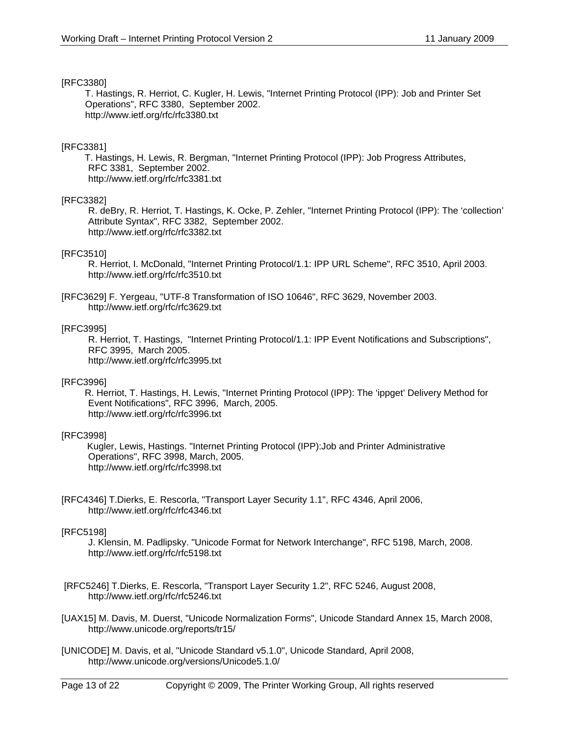#### [RFC3380]

T. Hastings, R. Herriot, C. Kugler, H. Lewis, "Internet Printing Protocol (IPP): Job and Printer Set Operations", RFC 3380, September 2002. http://www.ietf.org/rfc/rfc3380.txt

### [RFC3381]

 T. Hastings, H. Lewis, R. Bergman, "Internet Printing Protocol (IPP): Job Progress Attributes, RFC 3381, September 2002. http://www.ietf.org/rfc/rfc3381.txt

#### [RFC3382]

R. deBry, R. Herriot, T. Hastings, K. Ocke, P. Zehler, "Internet Printing Protocol (IPP): The 'collection' Attribute Syntax", RFC 3382, September 2002. http://www.ietf.org/rfc/rfc3382.txt

#### [RFC3510]

R. Herriot, I. McDonald, "Internet Printing Protocol/1.1: IPP URL Scheme", RFC 3510, April 2003. http://www.ietf.org/rfc/rfc3510.txt

[RFC3629] F. Yergeau, "UTF-8 Transformation of ISO 10646", RFC 3629, November 2003. http://www.ietf.org/rfc/rfc3629.txt

#### [RFC3995]

R. Herriot, T. Hastings, "Internet Printing Protocol/1.1: IPP Event Notifications and Subscriptions", RFC 3995, March 2005. http://www.ietf.org/rfc/rfc3995.txt

#### [RFC3996]

 R. Herriot, T. Hastings, H. Lewis, "Internet Printing Protocol (IPP): The 'ippget' Delivery Method for Event Notifications", RFC 3996, March, 2005. http://www.ietf.org/rfc/rfc3996.txt

### [RFC3998]

 Kugler, Lewis, Hastings. "Internet Printing Protocol (IPP):Job and Printer Administrative Operations", RFC 3998, March, 2005. http://www.ietf.org/rfc/rfc3998.txt

[RFC4346] T.Dierks, E. Rescorla, "Transport Layer Security 1.1", RFC 4346, April 2006, http://www.ietf.org/rfc/rfc4346.txt

### [RFC5198]

J. Klensin, M. Padlipsky. "Unicode Format for Network Interchange", RFC 5198, March, 2008. http://www.ietf.org/rfc/rfc5198.txt

 [RFC5246] T.Dierks, E. Rescorla, "Transport Layer Security 1.2", RFC 5246, August 2008, http://www.ietf.org/rfc/rfc5246.txt

[UAX15] M. Davis, M. Duerst, "Unicode Normalization Forms", Unicode Standard Annex 15, March 2008, http://www.unicode.org/reports/tr15/

[UNICODE] M. Davis, et al, "Unicode Standard v5.1.0", Unicode Standard, April 2008, http://www.unicode.org/versions/Unicode5.1.0/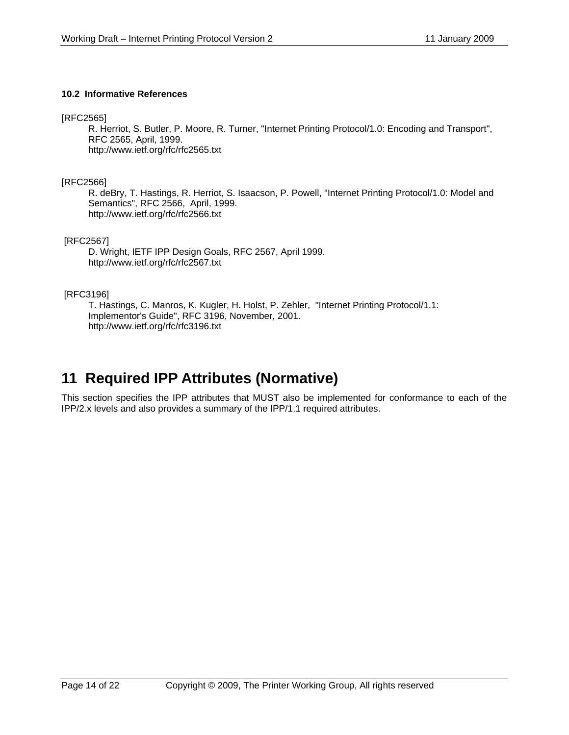### **10.2 Informative References**

[RFC2565]

R. Herriot, S. Butler, P. Moore, R. Turner, "Internet Printing Protocol/1.0: Encoding and Transport", RFC 2565, April, 1999. http://www.ietf.org/rfc/rfc2565.txt

[RFC2566]

R. deBry, T. Hastings, R. Herriot, S. Isaacson, P. Powell, "Internet Printing Protocol/1.0: Model and Semantics", RFC 2566, April, 1999. http://www.ietf.org/rfc/rfc2566.txt

[RFC2567]

D. Wright, IETF IPP Design Goals, RFC 2567, April 1999. http://www.ietf.org/rfc/rfc2567.txt

### [RFC3196]

T. Hastings, C. Manros, K. Kugler, H. Holst, P. Zehler, "Internet Printing Protocol/1.1: Implementor's Guide", RFC 3196, November, 2001. http://www.ietf.org/rfc/rfc3196.txt

# **11 Required IPP Attributes (Normative)**

This section specifies the IPP attributes that MUST also be implemented for conformance to each of the IPP/2.x levels and also provides a summary of the IPP/1.1 required attributes.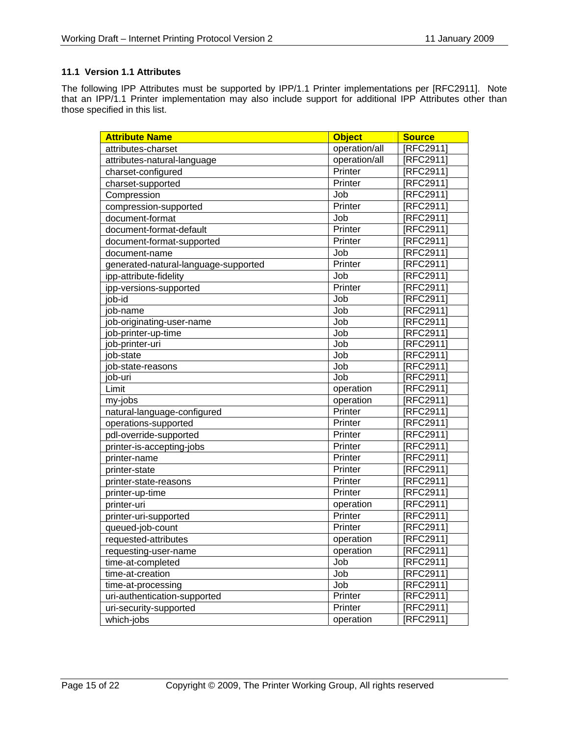# **11.1 Version 1.1 Attributes**

The following IPP Attributes must be supported by IPP/1.1 Printer implementations per [RFC2911]. Note that an IPP/1.1 Printer implementation may also include support for additional IPP Attributes other than those specified in this list.

| <b>Attribute Name</b>                | <b>Object</b> | <b>Source</b> |
|--------------------------------------|---------------|---------------|
| attributes-charset                   | operation/all | [RFC2911]     |
| attributes-natural-language          | operation/all | [RFC2911]     |
| charset-configured                   | Printer       | [RFC2911]     |
| charset-supported                    | Printer       | [RFC2911]     |
| Compression                          | Job           | [RFC2911]     |
| compression-supported                | Printer       | [RFC2911]     |
| document-format                      | Job           | [RFC2911]     |
| document-format-default              | Printer       | [RFC2911]     |
| document-format-supported            | Printer       | [RFC2911]     |
| document-name                        | Job           | [RFC2911]     |
| generated-natural-language-supported | Printer       | [RFC2911]     |
| ipp-attribute-fidelity               | Job           | [RFC2911]     |
| ipp-versions-supported               | Printer       | [RFC2911]     |
| ob-id                                | Job           | [RFC2911]     |
| ob-name                              | Job           | [RFC2911]     |
| ob-originating-user-name             | Job           | [RFC2911]     |
| ob-printer-up-time                   | Job           | [RFC2911]     |
| ob-printer-uri                       | Job           | [RFC2911]     |
| ob-state                             | Job           | [RFC2911]     |
| ob-state-reasons                     | Job           | [RFC2911]     |
| ob-uri                               | Job           | [RFC2911]     |
| Limit                                | operation     | [RFC2911]     |
| my-jobs                              | operation     | [RFC2911]     |
| natural-language-configured          | Printer       | [RFC2911]     |
| operations-supported                 | Printer       | [RFC2911]     |
| pdl-override-supported               | Printer       | [RFC2911]     |
| printer-is-accepting-jobs            | Printer       | [RFC2911]     |
| printer-name                         | Printer       | [RFC2911]     |
| printer-state                        | Printer       | [RFC2911]     |
| printer-state-reasons                | Printer       | [RFC2911]     |
| printer-up-time                      | Printer       | [RFC2911]     |
| printer-uri                          | operation     | [RFC2911]     |
| printer-uri-supported                | Printer       | [RFC2911]     |
| queued-job-count                     | Printer       | [RFC2911]     |
| requested-attributes                 | operation     | [RFC2911]     |
| requesting-user-name                 | operation     | [RFC2911]     |
| time-at-completed                    | Job           | [RFC2911]     |
| time-at-creation                     | Job           | [RFC2911]     |
| time-at-processing                   | Job           | [RFC2911]     |
| uri-authentication-supported         | Printer       | [RFC2911]     |
| uri-security-supported               | Printer       | [RFC2911]     |
| which-jobs                           | operation     | [RFC2911]     |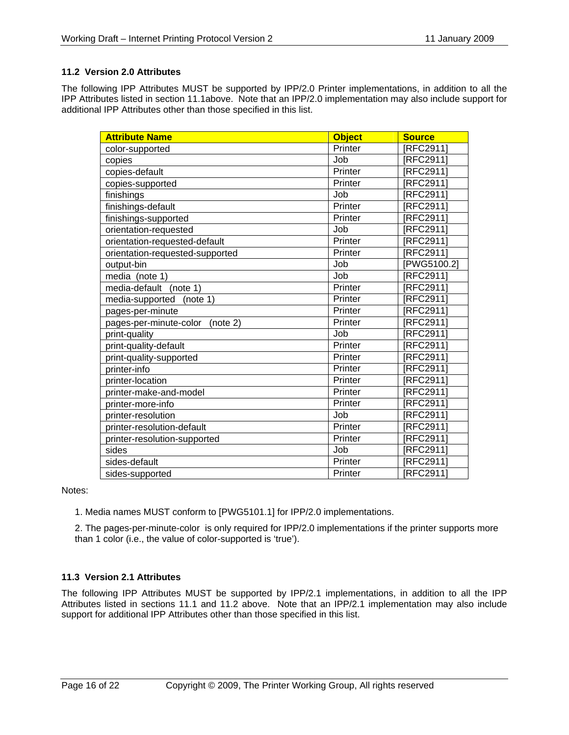# **11.2 Version 2.0 Attributes**

The following IPP Attributes MUST be supported by IPP/2.0 Printer implementations, in addition to all the IPP Attributes listed in section 11.1above. Note that an IPP/2.0 implementation may also include support for additional IPP Attributes other than those specified in this list.

| <b>Attribute Name</b>              | <b>Object</b> | <b>Source</b> |
|------------------------------------|---------------|---------------|
| color-supported                    | Printer       | [RFC2911]     |
| copies                             | Job           | [RFC2911]     |
| copies-default                     | Printer       | [RFC2911]     |
| copies-supported                   | Printer       | [RFC2911]     |
| finishings                         | Job           | [RFC2911]     |
| finishings-default                 | Printer       | [RFC2911]     |
| finishings-supported               | Printer       | [RFC2911]     |
| orientation-requested              | Job           | [RFC2911]     |
| orientation-requested-default      | Printer       | [RFC2911]     |
| orientation-requested-supported    | Printer       | [RFC2911]     |
| output-bin                         | Job           | [PWG5100.2]   |
| media (note 1)                     | Job           | [RFC2911]     |
| media-default<br>(note 1)          | Printer       | [RFC2911]     |
| media-supported<br>(note 1)        | Printer       | [RFC2911]     |
| pages-per-minute                   | Printer       | [RFC2911]     |
| pages-per-minute-color<br>(note 2) | Printer       | [RFC2911]     |
| print-quality                      | Job           | [RFC2911]     |
| print-quality-default              | Printer       | [RFC2911]     |
| print-quality-supported            | Printer       | [RFC2911]     |
| printer-info                       | Printer       | [RFC2911]     |
| printer-location                   | Printer       | [RFC2911]     |
| printer-make-and-model             | Printer       | [RFC2911]     |
| printer-more-info                  | Printer       | [RFC2911]     |
| printer-resolution                 | Job           | [RFC2911]     |
| printer-resolution-default         | Printer       | [RFC2911]     |
| printer-resolution-supported       | Printer       | [RFC2911]     |
| sides                              | Job           | [RFC2911]     |
| sides-default                      | Printer       | [RFC2911]     |
| sides-supported                    | Printer       | [RFC2911]     |

Notes:

1. Media names MUST conform to [PWG5101.1] for IPP/2.0 implementations.

2. The pages-per-minute-color is only required for IPP/2.0 implementations if the printer supports more than 1 color (i.e., the value of color-supported is 'true').

# **11.3 Version 2.1 Attributes**

The following IPP Attributes MUST be supported by IPP/2.1 implementations, in addition to all the IPP Attributes listed in sections 11.1 and 11.2 above. Note that an IPP/2.1 implementation may also include support for additional IPP Attributes other than those specified in this list.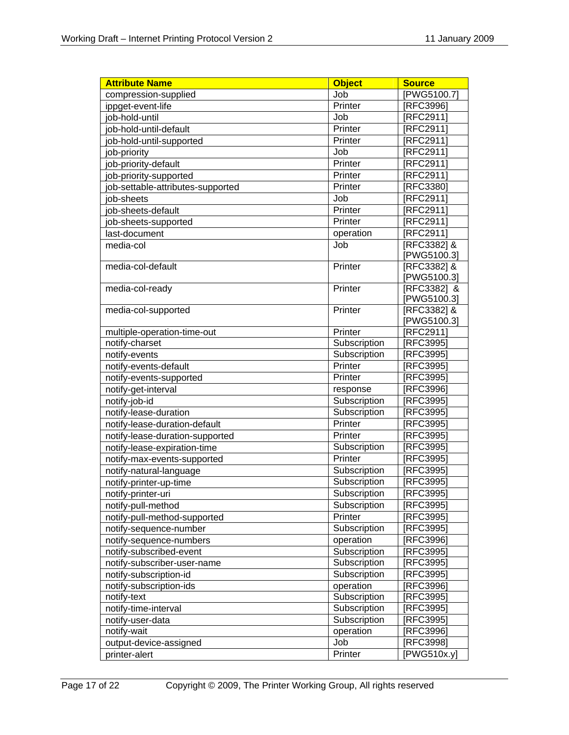| <b>Attribute Name</b>             | <b>Object</b> | <b>Source</b>   |
|-----------------------------------|---------------|-----------------|
| compression-supplied              | Job           | PWG5100.7]      |
| ippget-event-life                 | Printer       | [RFC3996]       |
| job-hold-until                    | Job           | RFC2911]        |
| job-hold-until-default            | Printer       | RFC2911]        |
| job-hold-until-supported          | Printer       | [RFC2911]       |
| job-priority                      | Job           | [RFC2911]       |
| job-priority-default              | Printer       | [RFC2911]       |
| job-priority-supported            | Printer       | [RFC2911]       |
| job-settable-attributes-supported | Printer       | [RFC3380]       |
| iob-sheets                        | Job           | [RFC2911]       |
| job-sheets-default                | Printer       | [RFC2911]       |
| job-sheets-supported              | Printer       | [RFC2911]       |
| last-document                     | operation     | RFC29111        |
| media-col                         | Job           | [RFC3382] &     |
|                                   |               | PWG5100.3]      |
| media-col-default                 | Printer       | [RFC3382] &     |
|                                   |               | [PWG5100.3]     |
| media-col-ready                   | Printer       | [RFC3382] &     |
|                                   |               | [PWG5100.3]     |
| media-col-supported               | Printer       | [RFC3382] &     |
|                                   |               | PWG5100.3]      |
| multiple-operation-time-out       | Printer       | <b>RFC2911</b>  |
| notify-charset                    | Subscription  | RFC39951        |
| notify-events                     | Subscription  | RFC3995]        |
| notify-events-default             | Printer       | [RFC3995]       |
| notify-events-supported           | Printer       | RFC3995]        |
| notify-get-interval               | response      | RFC3996]        |
| notify-job-id                     | Subscription  | RFC3995]        |
| notify-lease-duration             | Subscription  | RFC3995]        |
| notify-lease-duration-default     | Printer       | RFC3995]        |
| notify-lease-duration-supported   | Printer       | [RFC3995]       |
| notify-lease-expiration-time      | Subscription  | [RFC3995]       |
| notify-max-events-supported       | Printer       | [RFC3995]       |
| notify-natural-language           | Subscription  | [RFC3995]       |
| notify-printer-up-time            | Subscription  | [RFC3995]       |
| notify-printer-uri                | Subscription  | [RFC3995]       |
| notify-pull-method                | Subscription  | [RFC3995]       |
| notify-pull-method-supported      | Printer       | RFC3995]        |
| notify-sequence-number            | Subscription  | RFC3995]        |
| notify-sequence-numbers           | operation     | RFC3996]        |
| notify-subscribed-event           | Subscription  | RFC3995]        |
| notify-subscriber-user-name       | Subscription  | RFC3995]        |
| notify-subscription-id            | Subscription  | RFC3995]        |
| notify-subscription-ids           | operation     | <b>RFC39961</b> |
| notify-text                       | Subscription  | RFC3995]        |
| notify-time-interval              | Subscription  | [RFC3995]       |
| notify-user-data                  | Subscription  | RFC3995]        |
| notify-wait                       | operation     | RFC3996]        |
| output-device-assigned            | Job           | <b>RFC39981</b> |
| printer-alert                     | Printer       | [PWG510x.y]     |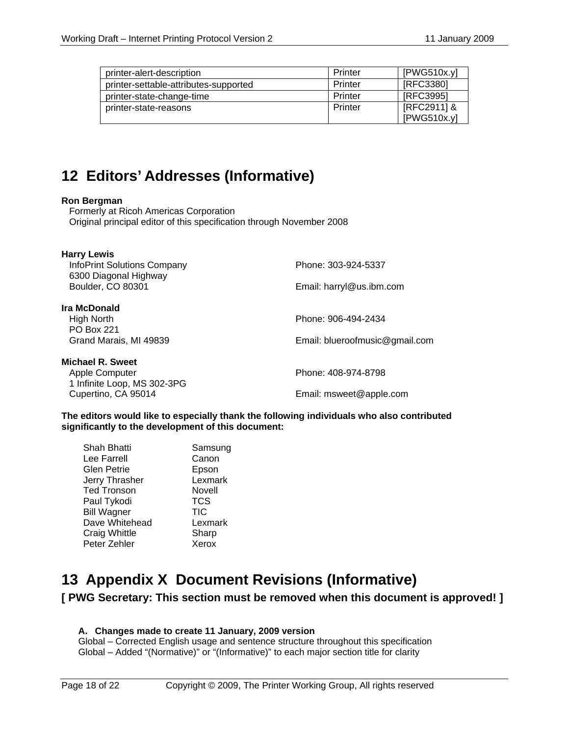| printer-alert-description             | Printer | [PWG510x.y] |
|---------------------------------------|---------|-------------|
| printer-settable-attributes-supported | Printer | [RFC3380]   |
| printer-state-change-time             | Printer | [RFC3995]   |
| printer-state-reasons                 | Printer | [RFC2911] & |
|                                       |         | [PWG510x.y] |

# **12 Editors' Addresses (Informative)**

#### **Ron Bergman**

 Formerly at Ricoh Americas Corporation Original principal editor of this specification through November 2008

| <b>Harry Lewis</b><br><b>InfoPrint Solutions Company</b><br>6300 Diagonal Highway | Phone: 303-924-5337            |
|-----------------------------------------------------------------------------------|--------------------------------|
| Boulder, CO 80301                                                                 | Email: harryl@us.ibm.com       |
| Ira McDonald                                                                      |                                |
| High North<br><b>PO Box 221</b>                                                   | Phone: 906-494-2434            |
| Grand Marais, MI 49839                                                            | Email: blueroofmusic@gmail.com |
| Michael R. Sweet                                                                  |                                |
| Apple Computer<br>1 Infinite Loop, MS 302-3PG                                     | Phone: 408-974-8798            |
| Cupertino, CA 95014                                                               | Email: msweet@apple.com        |
|                                                                                   |                                |

**The editors would like to especially thank the following individuals who also contributed significantly to the development of this document:** 

| Shah Bhatti        | Samsung    |
|--------------------|------------|
| Lee Farrell        | Canon      |
| Glen Petrie        | Epson      |
| Jerry Thrasher     | Lexmark    |
| <b>Ted Tronson</b> | Novell     |
| Paul Tykodi        | <b>TCS</b> |
| <b>Bill Wagner</b> | <b>TIC</b> |
| Dave Whitehead     | Lexmark    |
| Craig Whittle      | Sharp      |
| Peter Zehler       | Xerox      |
|                    |            |

# **13 Appendix X Document Revisions (Informative)**

# **[ PWG Secretary: This section must be removed when this document is approved! ]**

### **A. Changes made to create 11 January, 2009 version**

Global – Corrected English usage and sentence structure throughout this specification Global – Added "(Normative)" or "(Informative)" to each major section title for clarity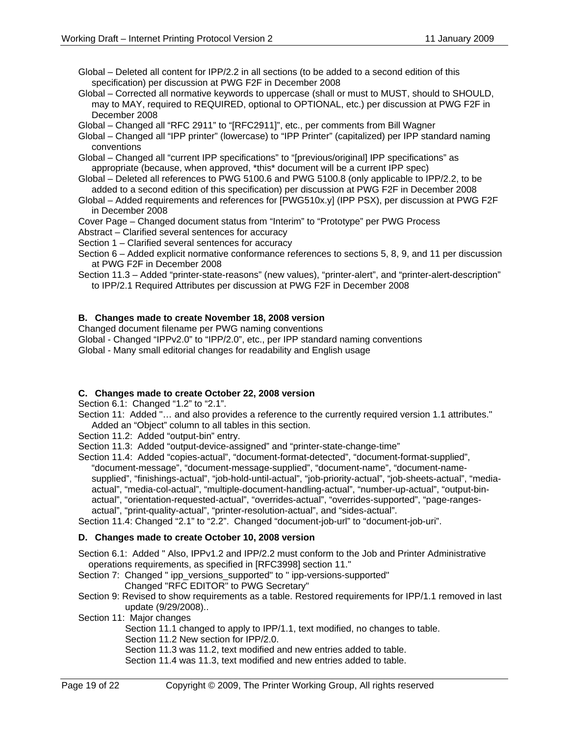- Global Deleted all content for IPP/2.2 in all sections (to be added to a second edition of this specification) per discussion at PWG F2F in December 2008
- Global Corrected all normative keywords to uppercase (shall or must to MUST, should to SHOULD, may to MAY, required to REQUIRED, optional to OPTIONAL, etc.) per discussion at PWG F2F in December 2008
- Global Changed all "RFC 2911" to "[RFC2911]", etc., per comments from Bill Wagner
- Global Changed all "IPP printer" (lowercase) to "IPP Printer" (capitalized) per IPP standard naming conventions
- Global Changed all "current IPP specifications" to "[previous/original] IPP specifications" as appropriate (because, when approved, \*this\* document will be a current IPP spec)
- Global Deleted all references to PWG 5100.6 and PWG 5100.8 (only applicable to IPP/2.2, to be added to a second edition of this specification) per discussion at PWG F2F in December 2008
- Global Added requirements and references for [PWG510x.y] (IPP PSX), per discussion at PWG F2F in December 2008
- Cover Page Changed document status from "Interim" to "Prototype" per PWG Process
- Abstract Clarified several sentences for accuracy
- Section 1 Clarified several sentences for accuracy
- Section 6 Added explicit normative conformance references to sections 5, 8, 9, and 11 per discussion at PWG F2F in December 2008
- Section 11.3 Added "printer-state-reasons" (new values), "printer-alert", and "printer-alert-description" to IPP/2.1 Required Attributes per discussion at PWG F2F in December 2008

### **B. Changes made to create November 18, 2008 version**

Changed document filename per PWG naming conventions

Global - Changed "IPPv2.0" to "IPP/2.0", etc., per IPP standard naming conventions

Global - Many small editorial changes for readability and English usage

### **C. Changes made to create October 22, 2008 version**

Section 6.1: Changed "1.2" to "2.1".

- Section 11: Added "... and also provides a reference to the currently required version 1.1 attributes." Added an "Object" column to all tables in this section.
- Section 11.2: Added "output-bin" entry.
- Section 11.3: Added "output-device-assigned" and "printer-state-change-time"
- Section 11.4: Added "copies-actual", "document-format-detected", "document-format-supplied", "document-message", "document-message-supplied", "document-name", "document-namesupplied", "finishings-actual", "job-hold-until-actual", "job-priority-actual", "job-sheets-actual", "mediaactual", "media-col-actual", "multiple-document-handling-actual", "number-up-actual", "output-binactual", "orientation-requested-actual", "overrides-actual", "overrides-supported", "page-rangesactual", "print-quality-actual", "printer-resolution-actual", and "sides-actual".

Section 11.4: Changed "2.1" to "2.2". Changed "document-job-url" to "document-job-uri".

#### **D. Changes made to create October 10, 2008 version**

Section 6.1: Added " Also, IPPv1.2 and IPP/2.2 must conform to the Job and Printer Administrative operations requirements, as specified in [RFC3998] section 11."

Section 7: Changed " ipp\_versions\_supported" to " ipp-versions-supported" Changed "RFC EDITOR" to PWG Secretary"

- Section 9: Revised to show requirements as a table. Restored requirements for IPP/1.1 removed in last update (9/29/2008)..
- Section 11: Major changes
	- Section 11.1 changed to apply to IPP/1.1, text modified, no changes to table.
	- Section 11.2 New section for IPP/2.0.

Section 11.3 was 11.2, text modified and new entries added to table.

Section 11.4 was 11.3, text modified and new entries added to table.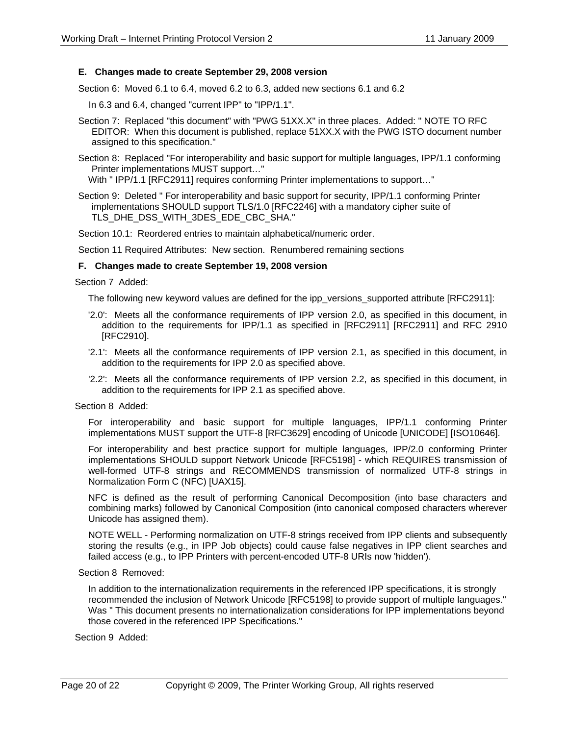#### **E. Changes made to create September 29, 2008 version**

Section 6: Moved 6.1 to 6.4, moved 6.2 to 6.3, added new sections 6.1 and 6.2

In 6.3 and 6.4, changed "current IPP" to "IPP/1.1".

Section 7: Replaced "this document" with "PWG 51XX.X" in three places. Added: " NOTE TO RFC EDITOR: When this document is published, replace 51XX.X with the PWG ISTO document number assigned to this specification."

Section 8: Replaced "For interoperability and basic support for multiple languages, IPP/1.1 conforming Printer implementations MUST support…"

With " IPP/1.1 [RFC2911] requires conforming Printer implementations to support..."

Section 9: Deleted " For interoperability and basic support for security, IPP/1.1 conforming Printer implementations SHOULD support TLS/1.0 [RFC2246] with a mandatory cipher suite of TLS\_DHE\_DSS\_WITH\_3DES\_EDE\_CBC\_SHA."

Section 10.1: Reordered entries to maintain alphabetical/numeric order.

Section 11 Required Attributes: New section. Renumbered remaining sections

#### **F. Changes made to create September 19, 2008 version**

#### Section 7 Added:

The following new keyword values are defined for the ipp\_versions\_supported attribute [RFC2911]:

- '2.0': Meets all the conformance requirements of IPP version 2.0, as specified in this document, in addition to the requirements for IPP/1.1 as specified in [RFC2911] [RFC2911] and RFC 2910 [RFC2910].
- '2.1': Meets all the conformance requirements of IPP version 2.1, as specified in this document, in addition to the requirements for IPP 2.0 as specified above.
- '2.2': Meets all the conformance requirements of IPP version 2.2, as specified in this document, in addition to the requirements for IPP 2.1 as specified above.

#### Section 8 Added:

For interoperability and basic support for multiple languages, IPP/1.1 conforming Printer implementations MUST support the UTF-8 [RFC3629] encoding of Unicode [UNICODE] [ISO10646].

For interoperability and best practice support for multiple languages, IPP/2.0 conforming Printer implementations SHOULD support Network Unicode [RFC5198] - which REQUIRES transmission of well-formed UTF-8 strings and RECOMMENDS transmission of normalized UTF-8 strings in Normalization Form C (NFC) [UAX15].

NFC is defined as the result of performing Canonical Decomposition (into base characters and combining marks) followed by Canonical Composition (into canonical composed characters wherever Unicode has assigned them).

NOTE WELL - Performing normalization on UTF-8 strings received from IPP clients and subsequently storing the results (e.g., in IPP Job objects) could cause false negatives in IPP client searches and failed access (e.g., to IPP Printers with percent-encoded UTF-8 URIs now 'hidden').

#### Section 8 Removed:

In addition to the internationalization requirements in the referenced IPP specifications, it is strongly recommended the inclusion of Network Unicode [RFC5198] to provide support of multiple languages." Was " This document presents no internationalization considerations for IPP implementations beyond those covered in the referenced IPP Specifications."

Section 9 Added: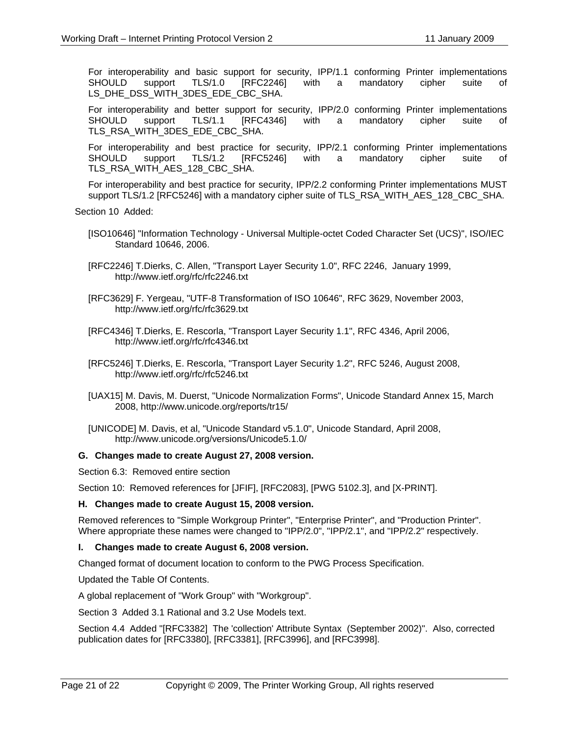For interoperability and basic support for security, IPP/1.1 conforming Printer implementations SHOULD support TLS/1.0 [RFC2246] with a mandatory cipher suite of LS\_DHE\_DSS\_WITH\_3DES\_EDE\_CBC\_SHA.

For interoperability and better support for security, IPP/2.0 conforming Printer implementations SHOULD support TLS/1.1 [RFC4346] with a mandatory cipher suite of TLS\_RSA\_WITH\_3DES\_EDE\_CBC\_SHA.

For interoperability and best practice for security, IPP/2.1 conforming Printer implementations SHOULD support TLS/1.2 [RFC5246] with a mandatory cipher suite of TLS\_RSA\_WITH\_AES\_128\_CBC\_SHA.

For interoperability and best practice for security, IPP/2.2 conforming Printer implementations MUST support TLS/1.2 [RFC5246] with a mandatory cipher suite of TLS\_RSA\_WITH\_AES\_128\_CBC\_SHA.

Section 10 Added:

- [ISO10646] "Information Technology Universal Multiple-octet Coded Character Set (UCS)", ISO/IEC Standard 10646, 2006.
- [RFC2246] T.Dierks, C. Allen, "Transport Layer Security 1.0", RFC 2246, January 1999, http://www.ietf.org/rfc/rfc2246.txt
- [RFC3629] F. Yergeau, "UTF-8 Transformation of ISO 10646", RFC 3629, November 2003, http://www.ietf.org/rfc/rfc3629.txt
- [RFC4346] T.Dierks, E. Rescorla, "Transport Layer Security 1.1", RFC 4346, April 2006, http://www.ietf.org/rfc/rfc4346.txt
- [RFC5246] T.Dierks, E. Rescorla, "Transport Layer Security 1.2", RFC 5246, August 2008, http://www.ietf.org/rfc/rfc5246.txt
- [UAX15] M. Davis, M. Duerst, "Unicode Normalization Forms", Unicode Standard Annex 15, March 2008, http://www.unicode.org/reports/tr15/
- [UNICODE] M. Davis, et al, "Unicode Standard v5.1.0", Unicode Standard, April 2008, http://www.unicode.org/versions/Unicode5.1.0/

#### **G. Changes made to create August 27, 2008 version.**

Section 6.3: Removed entire section

Section 10: Removed references for [JFIF], [RFC2083], [PWG 5102.3], and [X-PRINT].

#### **H. Changes made to create August 15, 2008 version.**

Removed references to "Simple Workgroup Printer", "Enterprise Printer", and "Production Printer". Where appropriate these names were changed to "IPP/2.0", "IPP/2.1", and "IPP/2.2" respectively.

#### **I. Changes made to create August 6, 2008 version.**

Changed format of document location to conform to the PWG Process Specification.

Updated the Table Of Contents.

A global replacement of "Work Group" with "Workgroup".

Section 3 Added 3.1 Rational and 3.2 Use Models text.

Section 4.4 Added "[RFC3382] The 'collection' Attribute Syntax (September 2002)". Also, corrected publication dates for [RFC3380], [RFC3381], [RFC3996], and [RFC3998].